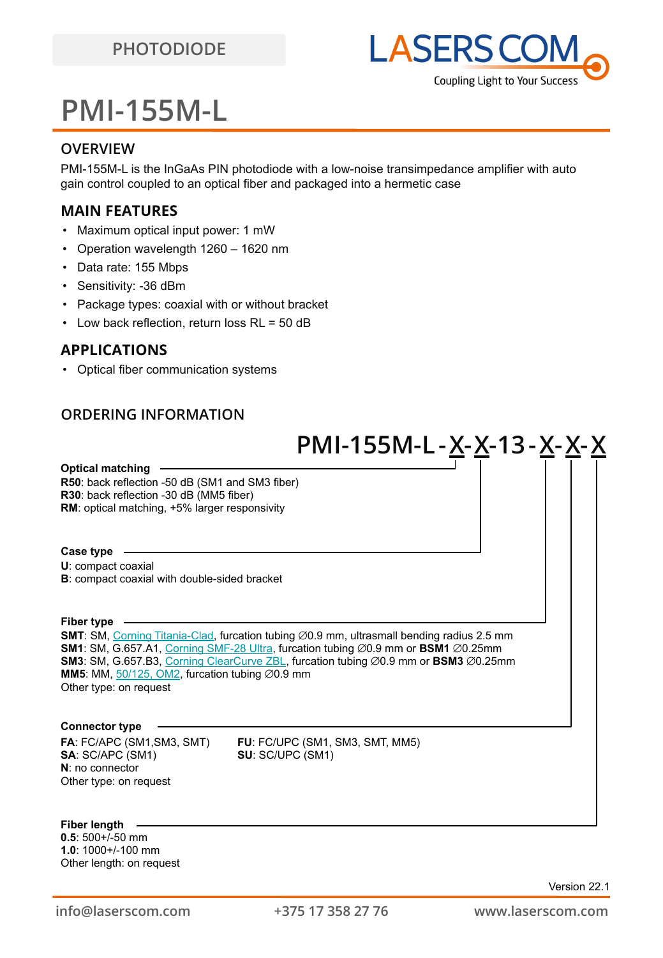

# **PMI-155M-L**

### **OVERVIEW**

PMI-155M-L is the InGaAs PIN photodiode with a low-noise transimpedance amplifier with auto gain control coupled to an optical fiber and packaged into a hermetic case

## **MAIN FEATURES**

- Maximum optical input power: 1 mW
- Operation wavelength 1260 1620 nm
- Data rate: 155 Mbps
- Sensitivity: -36 dBm
- Package types: coaxial with or without bracket
- Low back reflection, return loss RL = 50 dB

## **APPLICATIONS**

• Optical fiber communication systems

## **ORDERING INFORMATION**

|                                                                                                                                                                        | PMI-155M-L - <u>X</u> - <u>X</u> -13 - <u>X</u> - <u>X</u> - <u>X</u>                                                                                                                                                                                                                           |  |
|------------------------------------------------------------------------------------------------------------------------------------------------------------------------|-------------------------------------------------------------------------------------------------------------------------------------------------------------------------------------------------------------------------------------------------------------------------------------------------|--|
| <b>Optical matching</b><br>R50: back reflection -50 dB (SM1 and SM3 fiber)<br>R30: back reflection -30 dB (MM5 fiber)<br>RM: optical matching, +5% larger responsivity |                                                                                                                                                                                                                                                                                                 |  |
| Case type<br>U: compact coaxial<br>B: compact coaxial with double-sided bracket                                                                                        |                                                                                                                                                                                                                                                                                                 |  |
| Fiber type<br>MM5: MM, $50/125$ , OM2, furcation tubing $\varnothing$ 0.9 mm<br>Other type: on request                                                                 | SMT: SM, Corning Titania-Clad, furcation tubing Ø0.9 mm, ultrasmall bending radius 2.5 mm<br>SM1: SM, G.657.A1, Corning SMF-28 Ultra, furcation tubing $\varnothing$ 0.9 mm or BSM1 $\varnothing$ 0.25mm<br>SM3: SM, G.657.B3, Corning ClearCurve ZBL, furcation tubing Ø0.9 mm or BSM3 Ø0.25mm |  |
| <b>Connector type</b><br>FA: FC/APC (SM1,SM3, SMT)                                                                                                                     | FU: FC/UPC (SM1, SM3, SMT, MM5)                                                                                                                                                                                                                                                                 |  |
| SA: SC/APC (SM1)<br>$N:$ no connector<br>Other type: on request                                                                                                        | SU: SC/UPC (SM1)                                                                                                                                                                                                                                                                                |  |
| <b>Fiber lenath</b>                                                                                                                                                    |                                                                                                                                                                                                                                                                                                 |  |

**0.5**: 500+/-50 mm **1.0**: 1000+/-100 mm Other length: on request **Fiber length**

Version 22.1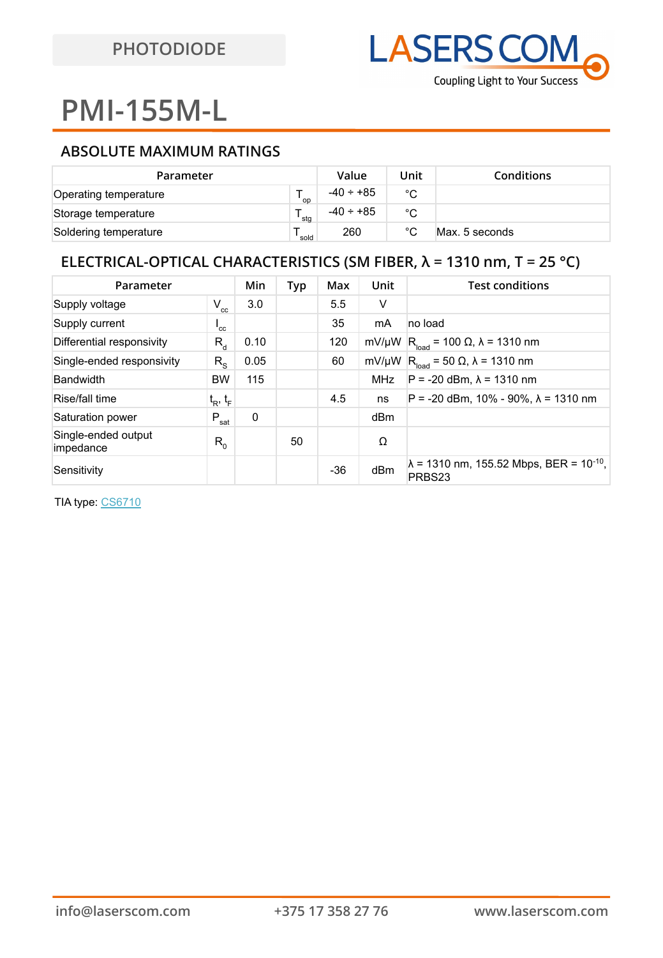# **PMI-155M-L**

## **ABSOLUTE MAXIMUM RATINGS**

| Parameter             |       | Value          | Unit         | <b>Conditions</b> |
|-----------------------|-------|----------------|--------------|-------------------|
| Operating temperature | op `  | $-40 \div +85$ | °C           |                   |
| Storage temperature   | ' stq | $-40 \div +85$ | °C           |                   |
| Soldering temperature | sold  | 260            | $^{\circ}$ C | Max. 5 seconds    |

## **ELECTRICAL-OPTICAL CHARACTERISTICS (SM FIBER, λ = 1310 nm, T = 25 °C)**

| Parameter                        |                           | Min  | Typ | Max   | Unit       | <b>Test conditions</b>                                                |
|----------------------------------|---------------------------|------|-----|-------|------------|-----------------------------------------------------------------------|
| Supply voltage                   | $V_{cc}$                  | 3.0  |     | 5.5   | V          |                                                                       |
| Supply current                   | $^{\prime}$ <sub>cc</sub> |      |     | 35    | mA         | no load                                                               |
| Differential responsivity        | $R_{\rm d}$               | 0.10 |     | 120   | mV/µW      | $R_{load}$ = 100 $\Omega$ , $\lambda$ = 1310 nm                       |
| Single-ended responsivity        | $R_{\rm s}$               | 0.05 |     | 60    | mV/µW      | $R_{load}$ = 50 $\Omega$ , $\lambda$ = 1310 nm                        |
| <b>Bandwidth</b>                 | <b>BW</b>                 | 115  |     |       | <b>MHz</b> | $P = -20$ dBm, $\lambda = 1310$ nm                                    |
| Rise/fall time                   | $t_R$ , $t_F$             |      |     | 4.5   | ns         | $P = -20$ dBm, 10% - 90%, $\lambda = 1310$ nm                         |
| Saturation power                 | $P_{sat}$                 | 0    |     |       | dBm        |                                                                       |
| Single-ended output<br>impedance | $R_{0}$                   |      | 50  |       | Ω          |                                                                       |
| Sensitivity                      |                           |      |     | $-36$ | dBm        | $\lambda$ = 1310 nm, 155.52 Mbps, BER = 10 <sup>-10</sup> ,<br>PRBS23 |

TIA type: [CS6710](http://datasheet.digchip.com/613/613-00078-0-CS6710.pdf)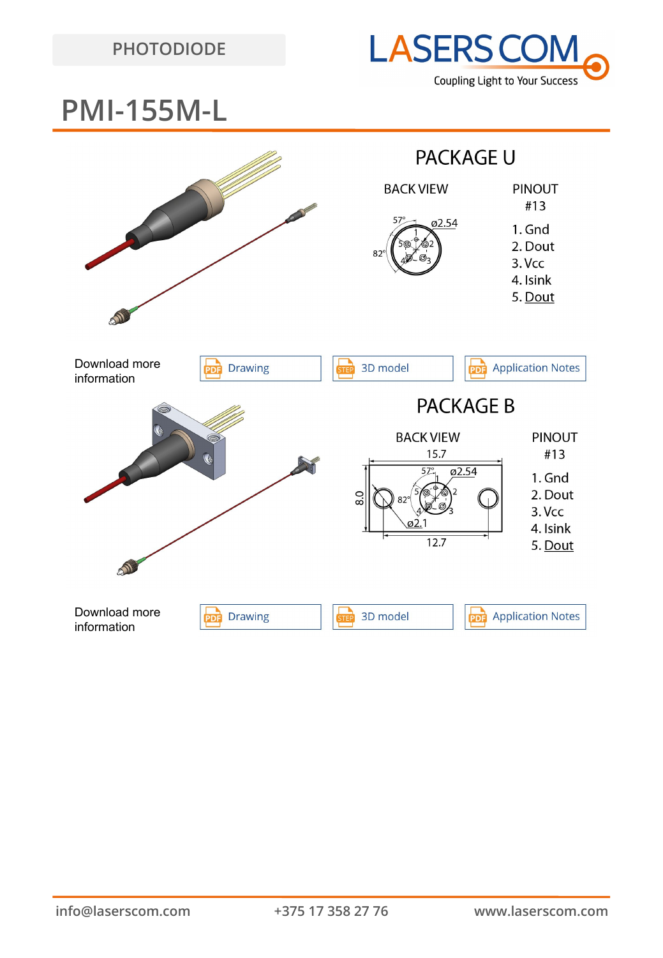

## **PMI-155M-L**